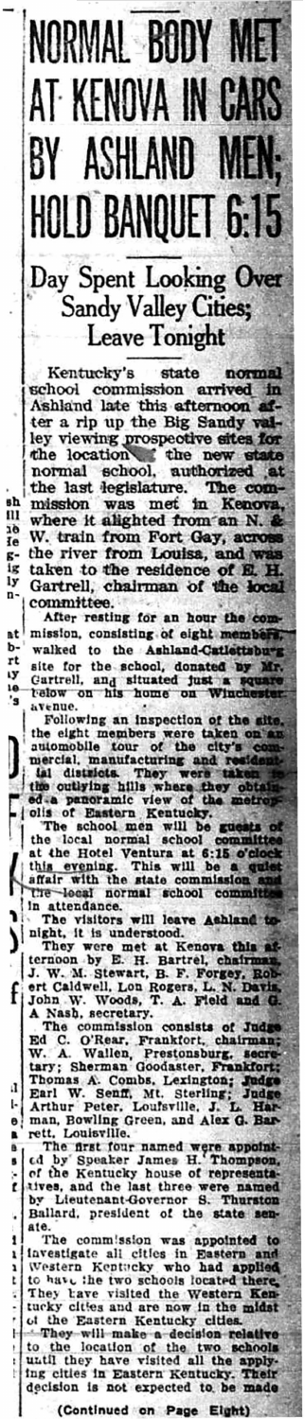## NORMAL BODY MET AT KENOVA IN CARS BY ASHLAND MEN; **HOLD BANQUET 6:15** Day Spent Looking Over

Sandy Valley Cities; **Leave Tonight** 

state Kentucky's normal school commission arrived in Ashland late this afternoon  $\mathbf{a}$  – ter a rip up the Big Sandy valley viewing prospective sites for the location the new state normal school, authorized at at the last legislature. The commission was met in Kenova where it alighted from an N. W. train from Fort Gay, acro the river from Louisa, and taken to the residence of E. H.

۱h

11

19

ľe

ζ-

ίg ly

n-

۵t

b-

rt

ly

١ø 's

ļ

f

ŀ

B.

× t.

٠

ŀ  $\mathbf{L}$  $\frac{1}{\sqrt{2}}$ 

Gartrell, chairman of the local committee.

After resting for an hour the com mission, consisting of eight membe walked to the Ashland-Catlettsbusite for the school, donated by Mr. Cartrell, and situated just a relow on his home on Wine st a squ avenue.

Following an inspection of the site the eight members were taken on automobile tour of the city's co mercial, manufacturing and re

ial districts. They were taken the outlying hills where they obtained a panoramic view of the metrop olis of Eastern Kentucky.<br>The school men will be guests of the local normal school committee at the Hotel Ventura at 6:15

night, it is understood.

ا ( They were met at Keneva this af-<br>ternoon by E. H. Bartrel, chairman ternoon by E. H. Bartrel, chairman.<br>J. W. M. Stewart, B. F. Forgey, Robert Caldwell, Lon Rogers, L. N. Davis,<br>John W. Woods, T. A. Field and G.<br>A Nash, secretary.<br>The commission consists of Judge<br>Ed C. O'Rear, Frankfort, c

Combs. Thomas A. Combs, Lexington; Judge<br>Earl W. Senff, Mt. Sterling; Judge<br>Arthur Peter, Louisville, J. L. Har- $\mathbf{I}$ Earl W. Peter, Louisville, Mar. G. Bar.<br>man. Bowling Green, and Alex G. Bar. man, Bowling G<br>rett, Louisville.  $\bullet$ 

The first four named were appointed by Speaker James H. Thompson, of the Kentucky house of representatives, and the last three were named by Lieutenant-Governor S. Thurston Ballard, president of the state senate.

 $\mathbf{I}$ The commission was appointed to The commission was appointed to the commission was appointed to the Western Kentucky who had applied to have the two schools located there.<br>They have visited the Western Kentucky cities and are now in the midst of the East

They will make a decision relative<br>to the location of the two schools<br>until they have visited all the apply-<br>ing cities in Eastern Kentucky. Their<br>decision is not expected to be made

(Continued on Page Eight)